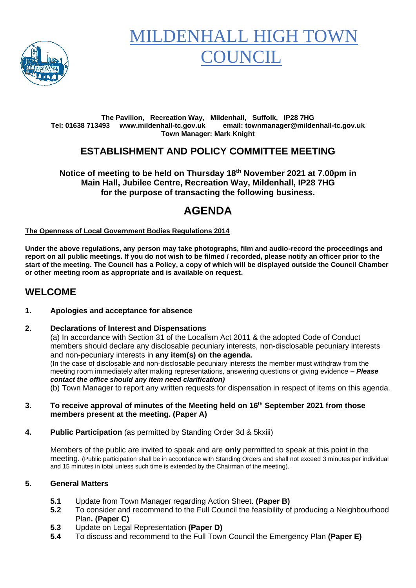

# **MILDENHALL HIGH TO OUNCIL**

#### **The Pavilion, Recreation Way, Mildenhall, Suffolk, IP28 7HG Tel: 01638 713493 www.mildenhall-tc.gov.uk email: townmanager@mildenhall-tc.gov.uk Town Manager: Mark Knight**

## **ESTABLISHMENT AND POLICY COMMITTEE MEETING**

**Notice of meeting to be held on Thursday 18th November 2021 at 7.00pm in Main Hall, Jubilee Centre, Recreation Way, Mildenhall, IP28 7HG for the purpose of transacting the following business.**

## **AGENDA**

**The Openness of Local Government Bodies Regulations 2014**

**Under the above regulations, any person may take photographs, film and audio-record the proceedings and report on all public meetings. If you do not wish to be filmed / recorded, please notify an officer prior to the start of the meeting. The Council has a Policy, a copy of which will be displayed outside the Council Chamber or other meeting room as appropriate and is available on request.**

### **WELCOME**

#### **1. Apologies and acceptance for absence**

#### **2. Declarations of Interest and Dispensations**

(a) In accordance with Section 31 of the Localism Act 2011 & the adopted Code of Conduct members should declare any disclosable pecuniary interests, non-disclosable pecuniary interests and non-pecuniary interests in **any item(s) on the agenda.** (In the case of disclosable and non-disclosable pecuniary interests the member must withdraw from the meeting room immediately after making representations, answering questions or giving evidence **–** *Please contact the office should any item need clarification)*

(b) Town Manager to report any written requests for dispensation in respect of items on this agenda.

- **3. To receive approval of minutes of the Meeting held on 16 th September 2021 from those members present at the meeting. (Paper A)**
- **4. Public Participation** (as permitted by Standing Order 3d & 5kxiii)

Members of the public are invited to speak and are **only** permitted to speak at this point in the meeting. (Public participation shall be in accordance with Standing Orders and shall not exceed 3 minutes per individual and 15 minutes in total unless such time is extended by the Chairman of the meeting).

#### **5. General Matters**

- **5.1** Update from Town Manager regarding Action Sheet. **(Paper B)**
- **5.2** To consider and recommend to the Full Council the feasibility of producing a Neighbourhood Plan**. (Paper C)**
- **5.3** Update on Legal Representation **(Paper D)**
- **5.4** To discuss and recommend to the Full Town Council the Emergency Plan **(Paper E)**